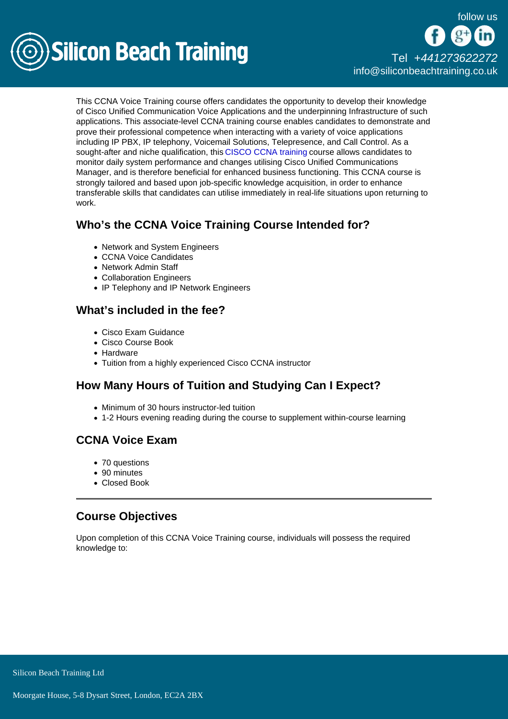

# [Tel +44](tel:+441273622272)1273622272 [info@siliconbeachtraining.co.uk](/var/www/html/siliconbeachtraining.co.uk/public/mailTo:info@siliconbeachtraining.co.uk)

This CCNA Voice Training course offers candidates the opportunity to develop their knowledge of Cisco Unified Communication Voice Applications and the underpinning Infrastructure of such applications. This associate-level CCNA training course enables candidates to demonstrate and prove their professional competence when interacting with a variety of voice applications including IP PBX, IP telephony, Voicemail Solutions, Telepresence, and Call Control. As a sought-after and niche qualification, this [CISCO CCNA training](/cisco-training) course allows candidates to monitor daily system performance and changes utilising Cisco Unified Communications Manager, and is therefore beneficial for enhanced business functioning. This CCNA course is strongly tailored and based upon job-specific knowledge acquisition, in order to enhance transferable skills that candidates can utilise immediately in real-life situations upon returning to work.

### Who's the CCNA Voice Training Course Intended for?

- Network and System Engineers
- CCNA Voice Candidates
- Network Admin Staff
- Collaboration Engineers
- IP Telephony and IP Network Engineers

#### What's included in the fee?

- Cisco Exam Guidance
- Cisco Course Book
- Hardware
- Tuition from a highly experienced Cisco CCNA instructor

# How Many Hours of Tuition and Studying Can I Expect?

- Minimum of 30 hours instructor-led tuition
- 1-2 Hours evening reading during the course to supplement within-course learning

### CCNA Voice Exam

- 70 questions
- 90 minutes
- Closed Book

### Course Objectives

Upon completion of this CCNA Voice Training course, individuals will possess the required knowledge to: